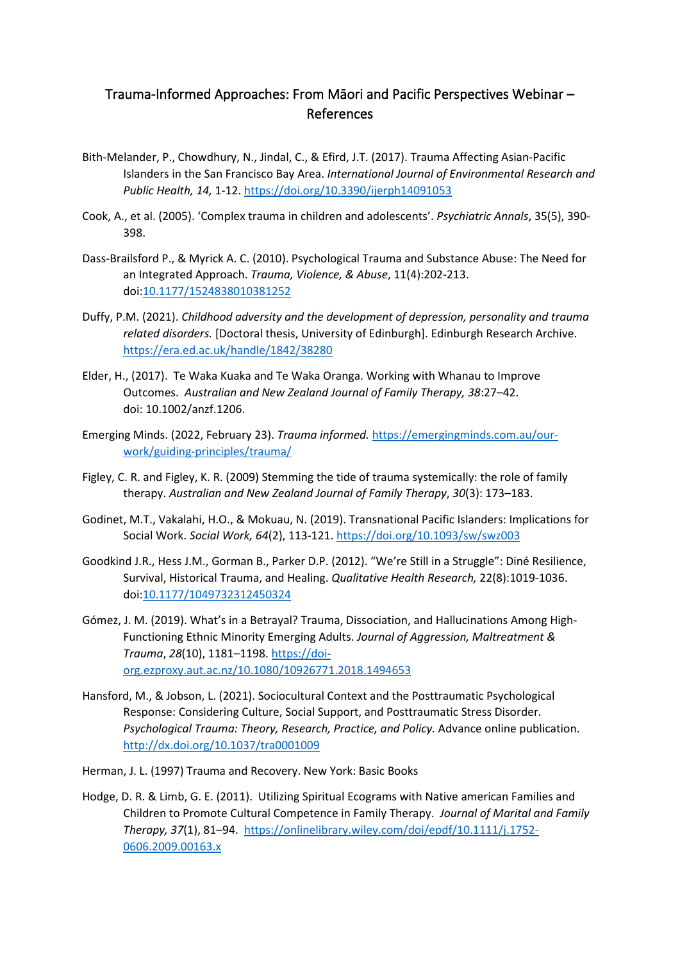## Trauma-Informed Approaches: From Māori and Pacific Perspectives Webinar – References

- Bith-Melander, P., Chowdhury, N., Jindal, C., & Efird, J.T. (2017). Trauma Affecting Asian-Pacific Islanders in the San Francisco Bay Area. *International Journal of Environmental Research and Public Health, 14,* 1-12[. https://doi.org/10.3390/ijerph14091053](https://doi.org/10.3390/ijerph14091053)
- Cook, A., et al. (2005). 'Complex trauma in children and adolescents'. *Psychiatric Annals*, 35(5), 390- 398.
- Dass-Brailsford P., & Myrick A. C. (2010). Psychological Trauma and Substance Abuse: The Need for an Integrated Approach. *Trauma, Violence, & Abuse*, 11(4):202-213. doi[:10.1177/1524838010381252](https://doi-org.ezproxy.auckland.ac.nz/10.1177/1524838010381252)
- Duffy, P.M. (2021). *Childhood adversity and the development of depression, personality and trauma related disorders.* [Doctoral thesis, University of Edinburgh]. Edinburgh Research Archive. <https://era.ed.ac.uk/handle/1842/38280>
- Elder, H., (2017). Te Waka Kuaka and Te Waka Oranga. Working with Whanau to Improve Outcomes. *Australian and New Zealand Journal of Family Therapy, 38*:27–42. doi: 10.1002/anzf.1206.
- Emerging Minds. (2022, February 23). *Trauma informed.* [https://emergingminds.com.au/our](https://emergingminds.com.au/our-work/guiding-principles/trauma/)[work/guiding-principles/trauma/](https://emergingminds.com.au/our-work/guiding-principles/trauma/)
- Figley, C. R. and Figley, K. R. (2009) Stemming the tide of trauma systemically: the role of family therapy. *Australian and New Zealand Journal of Family Therapy*, *30*(3): 173–183.
- Godinet, M.T., Vakalahi, H.O., & Mokuau, N. (2019). Transnational Pacific Islanders: Implications for Social Work. *Social Work, 64*(2), 113-121[. https://doi.org/10.1093/sw/swz003](https://doi.org/10.1093/sw/swz003)
- Goodkind J.R., Hess J.M., Gorman B., Parker D.P. (2012). "We're Still in a Struggle": Diné Resilience, Survival, Historical Trauma, and Healing. *Qualitative Health Research,* 22(8):1019-1036. doi[:10.1177/1049732312450324](https://doi-org.ezproxy.auckland.ac.nz/10.1177/1049732312450324)
- Gómez, J. M. (2019). What's in a Betrayal? Trauma, Dissociation, and Hallucinations Among High-Functioning Ethnic Minority Emerging Adults. *Journal of Aggression, Maltreatment & Trauma*, *28*(10), 1181–1198[. https://doi](https://doi-org.ezproxy.aut.ac.nz/10.1080/10926771.2018.1494653)[org.ezproxy.aut.ac.nz/10.1080/10926771.2018.1494653](https://doi-org.ezproxy.aut.ac.nz/10.1080/10926771.2018.1494653)
- Hansford, M., & Jobson, L. (2021). Sociocultural Context and the Posttraumatic Psychological Response: Considering Culture, Social Support, and Posttraumatic Stress Disorder. *Psychological Trauma: Theory, Research, Practice, and Policy.* Advance online publication. <http://dx.doi.org/10.1037/tra0001009>
- Herman, J. L. (1997) Trauma and Recovery. New York: Basic Books
- Hodge, D. R. & Limb, G. E. (2011). Utilizing Spiritual Ecograms with Native american Families and Children to Promote Cultural Competence in Family Therapy. *Journal of Marital and Family Therapy, 37*(1), 81–94. [https://onlinelibrary.wiley.com/doi/epdf/10.1111/j.1752-](https://onlinelibrary.wiley.com/doi/epdf/10.1111/j.1752-0606.2009.00163.x) [0606.2009.00163.x](https://onlinelibrary.wiley.com/doi/epdf/10.1111/j.1752-0606.2009.00163.x)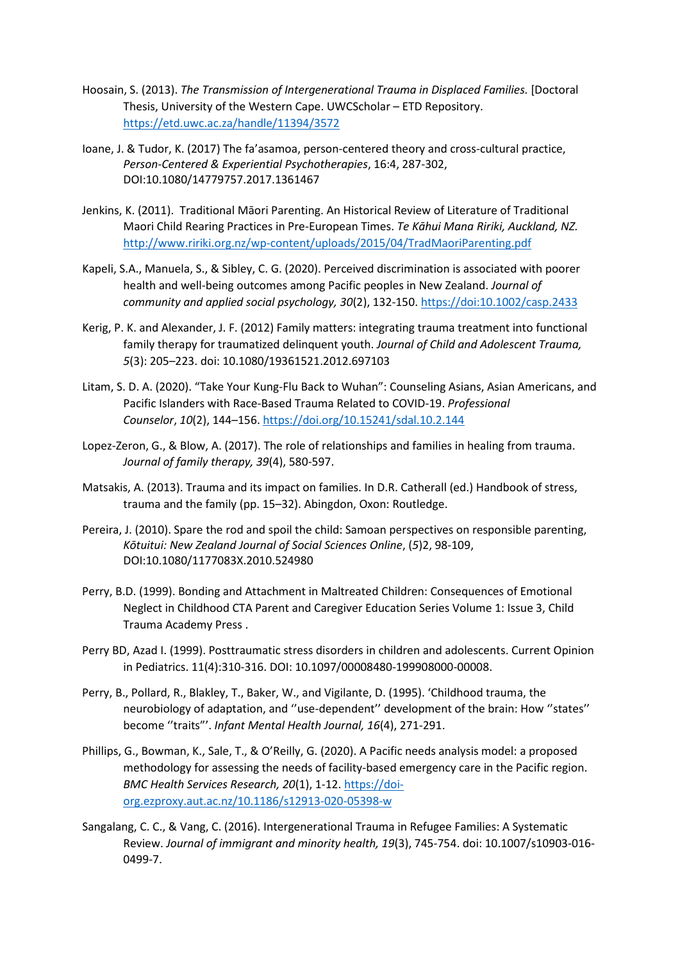- Hoosain, S. (2013). *The Transmission of Intergenerational Trauma in Displaced Families.* [Doctoral Thesis, University of the Western Cape. UWCScholar – ETD Repository. <https://etd.uwc.ac.za/handle/11394/3572>
- Ioane, J. & Tudor, K. (2017) The fa'asamoa, person-centered theory and cross-cultural practice, *Person-Centered & Experiential Psychotherapies*, 16:4, 287-302, DOI:10.1080/14779757.2017.1361467
- Jenkins, K. (2011). Traditional Māori Parenting. An Historical Review of Literature of Traditional Maori Child Rearing Practices in Pre-European Times. *Te Kāhui Mana Ririki, Auckland, NZ.* <http://www.ririki.org.nz/wp-content/uploads/2015/04/TradMaoriParenting.pdf>
- Kapeli, S.A., Manuela, S., & Sibley, C. G. (2020). Perceived discrimination is associated with poorer health and well-being outcomes among Pacific peoples in New Zealand. *Journal of community and applied social psychology, 30*(2), 132-150. https://doi:10.1002/casp.2433
- Kerig, P. K. and Alexander, J. F. (2012) Family matters: integrating trauma treatment into functional family therapy for traumatized delinquent youth. *Journal of Child and Adolescent Trauma, 5*(3): 205–223. doi: 10.1080/19361521.2012.697103
- Litam, S. D. A. (2020). "Take Your Kung-Flu Back to Wuhan": Counseling Asians, Asian Americans, and Pacific Islanders with Race-Based Trauma Related to COVID-19. *Professional Counselor*, *10*(2), 144–156.<https://doi.org/10.15241/sdal.10.2.144>
- Lopez-Zeron, G., & Blow, A. (2017). The role of relationships and families in healing from trauma. *Journal of family therapy, 39*(4), 580-597.
- Matsakis, A. (2013). Trauma and its impact on families. In D.R. Catherall (ed.) Handbook of stress, trauma and the family (pp. 15–32). Abingdon, Oxon: Routledge.
- Pereira, J. (2010). Spare the rod and spoil the child: Samoan perspectives on responsible parenting, *Kōtuitui: New Zealand Journal of Social Sciences Online*, (*5*)2, 98-109, DOI:10.1080/1177083X.2010.524980
- Perry, B.D. (1999). Bonding and Attachment in Maltreated Children: Consequences of Emotional Neglect in Childhood CTA Parent and Caregiver Education Series Volume 1: Issue 3, Child Trauma Academy Press .
- Perry BD, Azad I. (1999). Posttraumatic stress disorders in children and adolescents. Current Opinion in Pediatrics. 11(4):310-316. DOI: 10.1097/00008480-199908000-00008.
- Perry, B., Pollard, R., Blakley, T., Baker, W., and Vigilante, D. (1995). 'Childhood trauma, the neurobiology of adaptation, and ''use-dependent'' development of the brain: How ''states'' become ''traits"'. *Infant Mental Health Journal, 16*(4), 271-291.
- Phillips, G., Bowman, K., Sale, T., & O'Reilly, G. (2020). A Pacific needs analysis model: a proposed methodology for assessing the needs of facility-based emergency care in the Pacific region. *BMC Health Services Research, 20*(1), 1-12. [https://doi](https://doi-org.ezproxy.aut.ac.nz/10.1186/s12913-020-05398-w)[org.ezproxy.aut.ac.nz/10.1186/s12913-020-05398-w](https://doi-org.ezproxy.aut.ac.nz/10.1186/s12913-020-05398-w)
- Sangalang, C. C., & Vang, C. (2016). Intergenerational Trauma in Refugee Families: A Systematic Review. *Journal of immigrant and minority health, 19*(3), 745-754. doi: 10.1007/s10903-016- 0499-7.